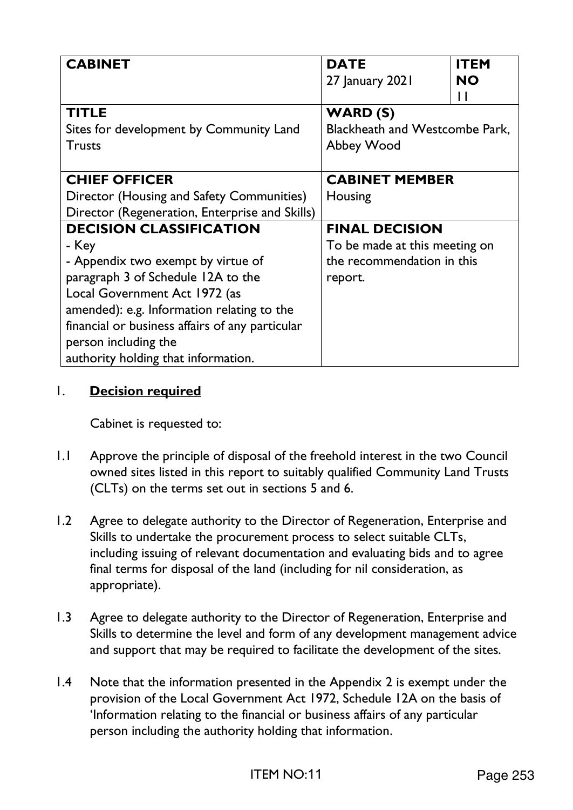| <b>CABINET</b>                                                   | <b>DATE</b>                           | <b>ITEM</b>    |
|------------------------------------------------------------------|---------------------------------------|----------------|
|                                                                  | 27 January 2021                       | <b>NO</b><br>Ħ |
| <b>TITLE</b>                                                     | WARD (S)                              |                |
| Sites for development by Community Land                          | <b>Blackheath and Westcombe Park,</b> |                |
| <b>Trusts</b>                                                    | Abbey Wood                            |                |
|                                                                  |                                       |                |
| <b>CHIEF OFFICER</b>                                             | <b>CABINET MEMBER</b>                 |                |
| Director (Housing and Safety Communities)                        | Housing                               |                |
| Director (Regeneration, Enterprise and Skills)                   |                                       |                |
| <b>DECISION CLASSIFICATION</b><br><b>FINAL DECISION</b>          |                                       |                |
| - Key                                                            | To be made at this meeting on         |                |
| the recommendation in this<br>- Appendix two exempt by virtue of |                                       |                |
| paragraph 3 of Schedule 12A to the                               | report.                               |                |
| Local Government Act 1972 (as                                    |                                       |                |
| amended): e.g. Information relating to the                       |                                       |                |
| financial or business affairs of any particular                  |                                       |                |
| person including the                                             |                                       |                |
| authority holding that information.                              |                                       |                |

# 1. **Decision required**

Cabinet is requested to:

- 1.1 Approve the principle of disposal of the freehold interest in the two Council owned sites listed in this report to suitably qualified Community Land Trusts (CLTs) on the terms set out in sections 5 and 6.
- 1.2 Agree to delegate authority to the Director of Regeneration, Enterprise and Skills to undertake the procurement process to select suitable CLTs, including issuing of relevant documentation and evaluating bids and to agree final terms for disposal of the land (including for nil consideration, as appropriate).
- 1.3 Agree to delegate authority to the Director of Regeneration, Enterprise and Skills to determine the level and form of any development management advice and support that may be required to facilitate the development of the sites.
- 1.4 Note that the information presented in the Appendix 2 is exempt under the provision of the Local Government Act 1972, Schedule 12A on the basis of 'Information relating to the financial or business affairs of any particular person including the authority holding that information.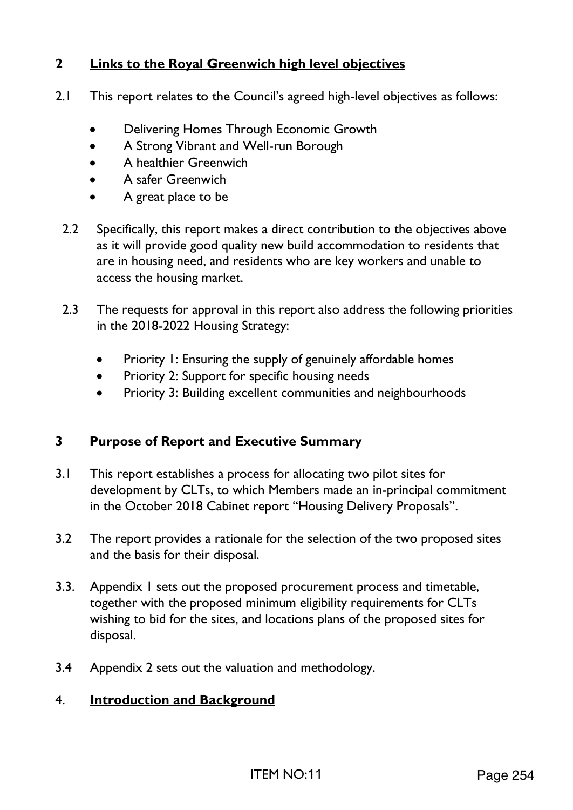# **2 Links to the Royal Greenwich high level objectives**

- 2.1 This report relates to the Council's agreed high-level objectives as follows:
	- Delivering Homes Through Economic Growth
	- A Strong Vibrant and Well-run Borough
	- A healthier Greenwich
	- A safer Greenwich
	- A great place to be
	- 2.2 Specifically, this report makes a direct contribution to the objectives above as it will provide good quality new build accommodation to residents that are in housing need, and residents who are key workers and unable to access the housing market.
	- 2.3 The requests for approval in this report also address the following priorities in the 2018-2022 Housing Strategy:
		- Priority 1: Ensuring the supply of genuinely affordable homes
		- Priority 2: Support for specific housing needs
		- Priority 3: Building excellent communities and neighbourhoods

# **3 Purpose of Report and Executive Summary**

- 3.1 This report establishes a process for allocating two pilot sites for development by CLTs, to which Members made an in-principal commitment in the October 2018 Cabinet report "Housing Delivery Proposals".
- 3.2 The report provides a rationale for the selection of the two proposed sites and the basis for their disposal.
- 3.3. Appendix 1 sets out the proposed procurement process and timetable, together with the proposed minimum eligibility requirements for CLTs wishing to bid for the sites, and locations plans of the proposed sites for disposal.
- 3.4 Appendix 2 sets out the valuation and methodology.

# 4. **Introduction and Background**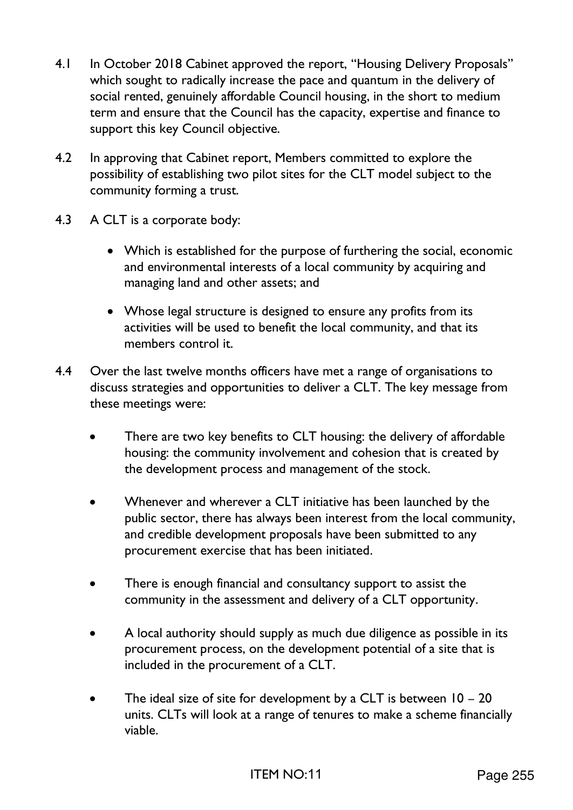- 4.1 In October 2018 Cabinet approved the report, "Housing Delivery Proposals" which sought to radically increase the pace and quantum in the delivery of social rented, genuinely affordable Council housing, in the short to medium term and ensure that the Council has the capacity, expertise and finance to support this key Council objective.
- 4.2 In approving that Cabinet report, Members committed to explore the possibility of establishing two pilot sites for the CLT model subject to the community forming a trust.
- 4.3 A CLT is a corporate body:
	- Which is established for the purpose of furthering the social, economic and environmental interests of a local community by acquiring and managing land and other assets; and
	- Whose legal structure is designed to ensure any profits from its activities will be used to benefit the local community, and that its members control it.
- 4.4 Over the last twelve months officers have met a range of organisations to discuss strategies and opportunities to deliver a CLT. The key message from these meetings were:
	- There are two key benefits to CLT housing: the delivery of affordable housing: the community involvement and cohesion that is created by the development process and management of the stock.
	- Whenever and wherever a CLT initiative has been launched by the public sector, there has always been interest from the local community, and credible development proposals have been submitted to any procurement exercise that has been initiated.
	- There is enough financial and consultancy support to assist the community in the assessment and delivery of a CLT opportunity.
	- A local authority should supply as much due diligence as possible in its procurement process, on the development potential of a site that is included in the procurement of a CLT.
	- The ideal size of site for development by a CLT is between  $10 20$ units. CLTs will look at a range of tenures to make a scheme financially viable.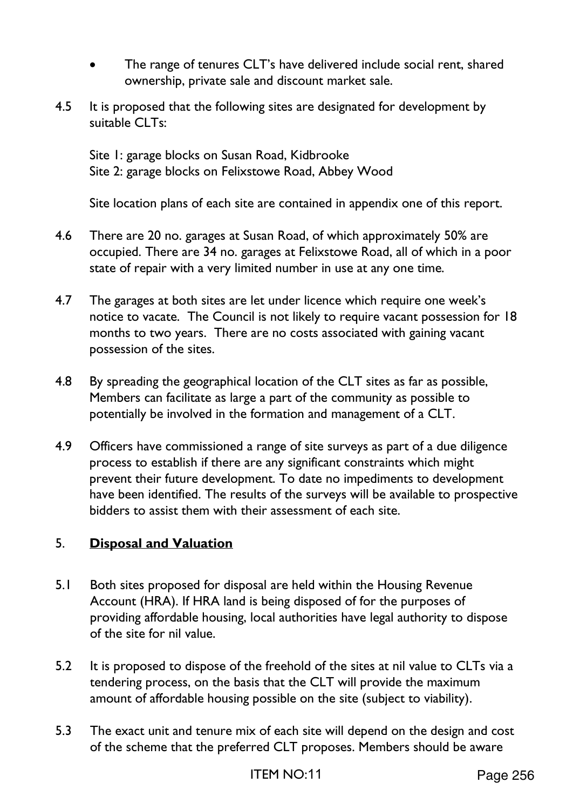- The range of tenures CLT's have delivered include social rent, shared ownership, private sale and discount market sale.
- 4.5 It is proposed that the following sites are designated for development by suitable CLTs:

 Site 1: garage blocks on Susan Road, Kidbrooke Site 2: garage blocks on Felixstowe Road, Abbey Wood

Site location plans of each site are contained in appendix one of this report.

- 4.6 There are 20 no. garages at Susan Road, of which approximately 50% are occupied. There are 34 no. garages at Felixstowe Road, all of which in a poor state of repair with a very limited number in use at any one time.
- 4.7 The garages at both sites are let under licence which require one week's notice to vacate. The Council is not likely to require vacant possession for 18 months to two years. There are no costs associated with gaining vacant possession of the sites.
- 4.8 By spreading the geographical location of the CLT sites as far as possible, Members can facilitate as large a part of the community as possible to potentially be involved in the formation and management of a CLT.
- 4.9 Officers have commissioned a range of site surveys as part of a due diligence process to establish if there are any significant constraints which might prevent their future development. To date no impediments to development have been identified. The results of the surveys will be available to prospective bidders to assist them with their assessment of each site.

# 5. **Disposal and Valuation**

- 5.1 Both sites proposed for disposal are held within the Housing Revenue Account (HRA). If HRA land is being disposed of for the purposes of providing affordable housing, local authorities have legal authority to dispose of the site for nil value.
- 5.2 It is proposed to dispose of the freehold of the sites at nil value to CLTs via a tendering process, on the basis that the CLT will provide the maximum amount of affordable housing possible on the site (subject to viability).
- 5.3 The exact unit and tenure mix of each site will depend on the design and cost of the scheme that the preferred CLT proposes. Members should be aware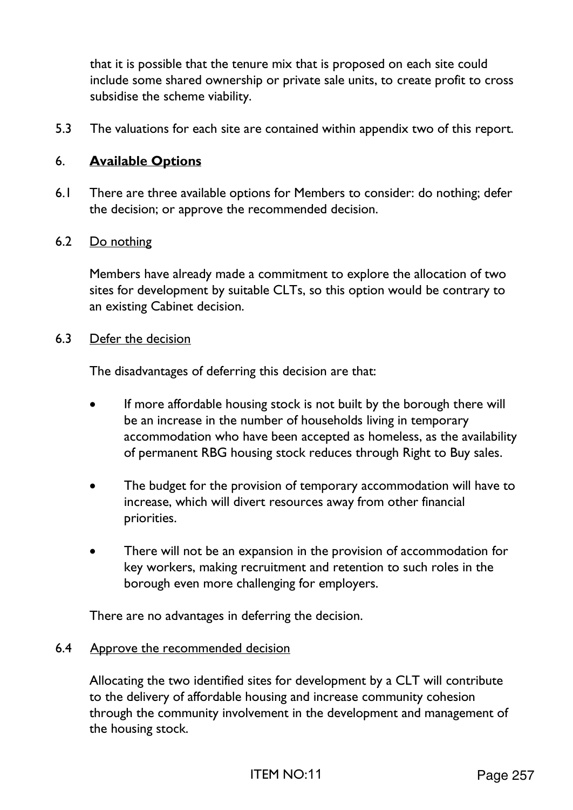that it is possible that the tenure mix that is proposed on each site could include some shared ownership or private sale units, to create profit to cross subsidise the scheme viability.

5.3 The valuations for each site are contained within appendix two of this report.

# 6. **Available Options**

6.1 There are three available options for Members to consider: do nothing; defer the decision; or approve the recommended decision.

## 6.2 Do nothing

Members have already made a commitment to explore the allocation of two sites for development by suitable CLTs, so this option would be contrary to an existing Cabinet decision.

#### 6.3 Defer the decision

The disadvantages of deferring this decision are that:

- If more affordable housing stock is not built by the borough there will be an increase in the number of households living in temporary accommodation who have been accepted as homeless, as the availability of permanent RBG housing stock reduces through Right to Buy sales.
- The budget for the provision of temporary accommodation will have to increase, which will divert resources away from other financial priorities.
- There will not be an expansion in the provision of accommodation for key workers, making recruitment and retention to such roles in the borough even more challenging for employers.

There are no advantages in deferring the decision.

### 6.4 Approve the recommended decision

Allocating the two identified sites for development by a CLT will contribute to the delivery of affordable housing and increase community cohesion through the community involvement in the development and management of the housing stock.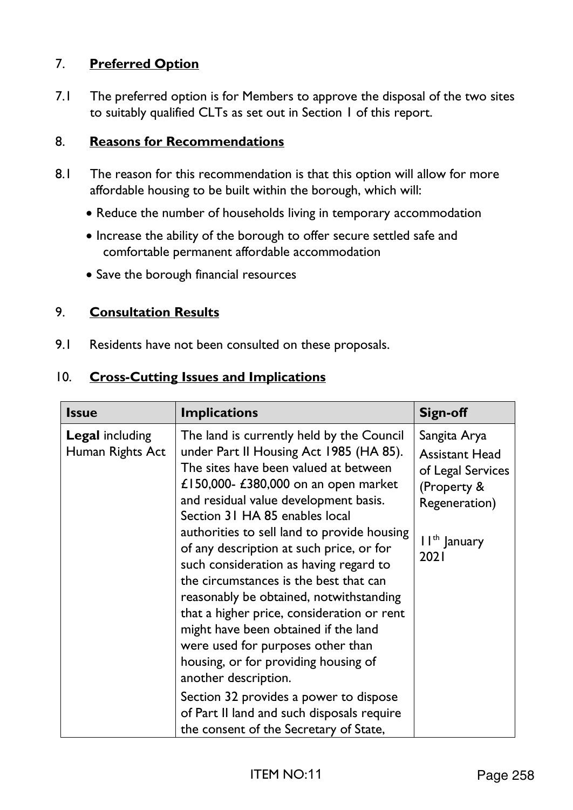# 7. **Preferred Option**

7.1 The preferred option is for Members to approve the disposal of the two sites to suitably qualified CLTs as set out in Section 1 of this report.

## 8. **Reasons for Recommendations**

- 8.1 The reason for this recommendation is that this option will allow for more affordable housing to be built within the borough, which will:
	- Reduce the number of households living in temporary accommodation
	- Increase the ability of the borough to offer secure settled safe and comfortable permanent affordable accommodation
	- Save the borough financial resources

# 9. **Consultation Results**

9.1 Residents have not been consulted on these proposals.

## 10. **Cross-Cutting Issues and Implications**

| <b>Issue</b>                               | <b>Implications</b>                                                                                                                                                                                                                                                                                                                                                                                                                                                                                                                                                                                                                                                                                                                                                                                     | <b>Sign-off</b>                                                                                                                |
|--------------------------------------------|---------------------------------------------------------------------------------------------------------------------------------------------------------------------------------------------------------------------------------------------------------------------------------------------------------------------------------------------------------------------------------------------------------------------------------------------------------------------------------------------------------------------------------------------------------------------------------------------------------------------------------------------------------------------------------------------------------------------------------------------------------------------------------------------------------|--------------------------------------------------------------------------------------------------------------------------------|
| <b>Legal including</b><br>Human Rights Act | The land is currently held by the Council<br>under Part II Housing Act 1985 (HA 85).<br>The sites have been valued at between<br>£150,000- £380,000 on an open market<br>and residual value development basis.<br>Section 31 HA 85 enables local<br>authorities to sell land to provide housing<br>of any description at such price, or for<br>such consideration as having regard to<br>the circumstances is the best that can<br>reasonably be obtained, notwithstanding<br>that a higher price, consideration or rent<br>might have been obtained if the land<br>were used for purposes other than<br>housing, or for providing housing of<br>another description.<br>Section 32 provides a power to dispose<br>of Part II land and such disposals require<br>the consent of the Secretary of State, | Sangita Arya<br><b>Assistant Head</b><br>of Legal Services<br>(Property &<br>Regeneration)<br>II <sup>th</sup> January<br>2021 |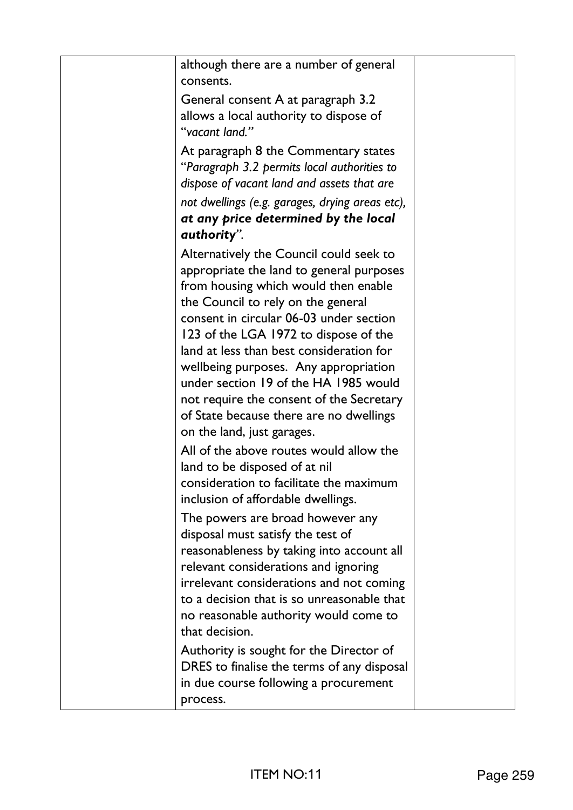| although there are a number of general<br>consents.                                                                                                                                                                                                                                                             |  |
|-----------------------------------------------------------------------------------------------------------------------------------------------------------------------------------------------------------------------------------------------------------------------------------------------------------------|--|
| General consent A at paragraph 3.2<br>allows a local authority to dispose of                                                                                                                                                                                                                                    |  |
| "vacant land."                                                                                                                                                                                                                                                                                                  |  |
| At paragraph 8 the Commentary states<br>"Paragraph 3.2 permits local authorities to<br>dispose of vacant land and assets that are                                                                                                                                                                               |  |
| not dwellings (e.g. garages, drying areas etc),<br>at any price determined by the local                                                                                                                                                                                                                         |  |
| authority".                                                                                                                                                                                                                                                                                                     |  |
| Alternatively the Council could seek to<br>appropriate the land to general purposes<br>from housing which would then enable<br>the Council to rely on the general<br>consent in circular 06-03 under section<br>123 of the LGA 1972 to dispose of the                                                           |  |
| land at less than best consideration for<br>wellbeing purposes. Any appropriation<br>under section 19 of the HA 1985 would                                                                                                                                                                                      |  |
| not require the consent of the Secretary<br>of State because there are no dwellings<br>on the land, just garages.                                                                                                                                                                                               |  |
| All of the above routes would allow the<br>land to be disposed of at nil<br>consideration to facilitate the maximum<br>inclusion of affordable dwellings.                                                                                                                                                       |  |
| The powers are broad however any<br>disposal must satisfy the test of<br>reasonableness by taking into account all<br>relevant considerations and ignoring<br>irrelevant considerations and not coming<br>to a decision that is so unreasonable that<br>no reasonable authority would come to<br>that decision. |  |
| Authority is sought for the Director of<br>DRES to finalise the terms of any disposal<br>in due course following a procurement<br>process.                                                                                                                                                                      |  |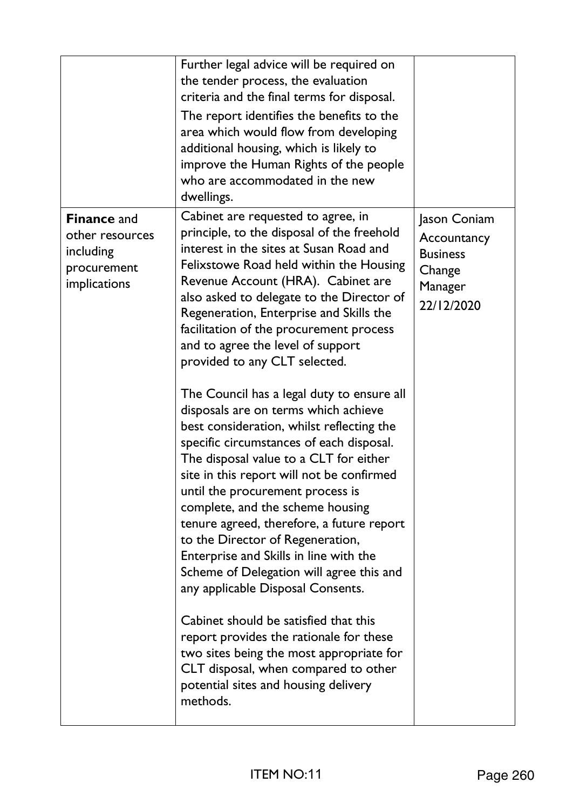|                                                                                   | Further legal advice will be required on<br>the tender process, the evaluation<br>criteria and the final terms for disposal.<br>The report identifies the benefits to the<br>area which would flow from developing<br>additional housing, which is likely to<br>improve the Human Rights of the people<br>who are accommodated in the new<br>dwellings.                                                                                                                                                                                                                                                                                                                                                                                                                                                                                                                                                                                                                                                                                                                                                                                                                                                     |                                                                                   |
|-----------------------------------------------------------------------------------|-------------------------------------------------------------------------------------------------------------------------------------------------------------------------------------------------------------------------------------------------------------------------------------------------------------------------------------------------------------------------------------------------------------------------------------------------------------------------------------------------------------------------------------------------------------------------------------------------------------------------------------------------------------------------------------------------------------------------------------------------------------------------------------------------------------------------------------------------------------------------------------------------------------------------------------------------------------------------------------------------------------------------------------------------------------------------------------------------------------------------------------------------------------------------------------------------------------|-----------------------------------------------------------------------------------|
| <b>Finance and</b><br>other resources<br>including<br>procurement<br>implications | Cabinet are requested to agree, in<br>principle, to the disposal of the freehold<br>interest in the sites at Susan Road and<br>Felixstowe Road held within the Housing<br>Revenue Account (HRA). Cabinet are<br>also asked to delegate to the Director of<br>Regeneration, Enterprise and Skills the<br>facilitation of the procurement process<br>and to agree the level of support<br>provided to any CLT selected.<br>The Council has a legal duty to ensure all<br>disposals are on terms which achieve<br>best consideration, whilst reflecting the<br>specific circumstances of each disposal.<br>The disposal value to a CLT for either<br>site in this report will not be confirmed<br>until the procurement process is<br>complete, and the scheme housing<br>tenure agreed, therefore, a future report<br>to the Director of Regeneration,<br>Enterprise and Skills in line with the<br>Scheme of Delegation will agree this and<br>any applicable Disposal Consents.<br>Cabinet should be satisfied that this<br>report provides the rationale for these<br>two sites being the most appropriate for<br>CLT disposal, when compared to other<br>potential sites and housing delivery<br>methods. | Jason Coniam<br>Accountancy<br><b>Business</b><br>Change<br>Manager<br>22/12/2020 |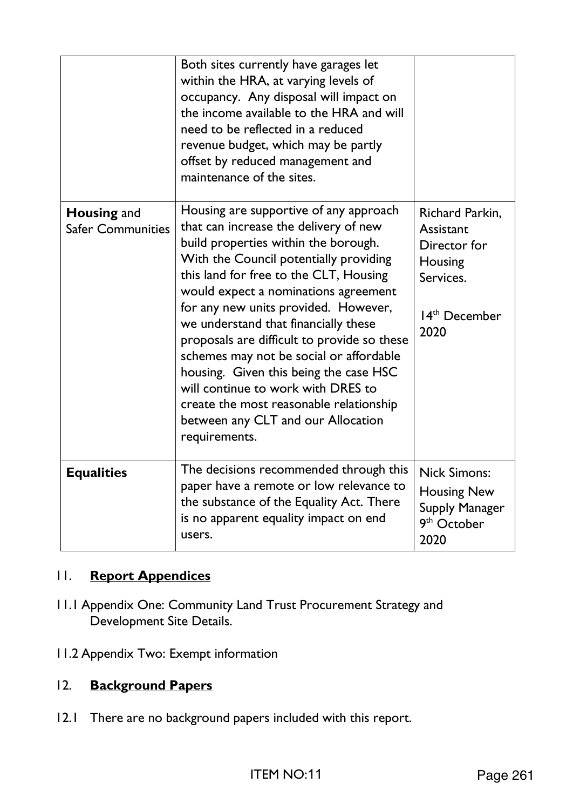| <b>Housing and</b><br><b>Safer Communities</b> | Both sites currently have garages let<br>within the HRA, at varying levels of<br>occupancy. Any disposal will impact on<br>the income available to the HRA and will<br>need to be reflected in a reduced<br>revenue budget, which may be partly<br>offset by reduced management and<br>maintenance of the sites.<br>Housing are supportive of any approach<br>that can increase the delivery of new<br>build properties within the borough.<br>With the Council potentially providing<br>this land for free to the CLT, Housing<br>would expect a nominations agreement<br>for any new units provided. However,<br>we understand that financially these<br>proposals are difficult to provide so these<br>schemes may not be social or affordable<br>housing. Given this being the case HSC<br>will continue to work with DRES to<br>create the most reasonable relationship<br>between any CLT and our Allocation<br>requirements. | Richard Parkin,<br>Assistant<br>Director for<br>Housing<br>Services.<br>14 <sup>th</sup> December<br>2020 |
|------------------------------------------------|-------------------------------------------------------------------------------------------------------------------------------------------------------------------------------------------------------------------------------------------------------------------------------------------------------------------------------------------------------------------------------------------------------------------------------------------------------------------------------------------------------------------------------------------------------------------------------------------------------------------------------------------------------------------------------------------------------------------------------------------------------------------------------------------------------------------------------------------------------------------------------------------------------------------------------------|-----------------------------------------------------------------------------------------------------------|
| <b>Equalities</b>                              | The decisions recommended through this<br>paper have a remote or low relevance to<br>the substance of the Equality Act. There<br>is no apparent equality impact on end<br>users.                                                                                                                                                                                                                                                                                                                                                                                                                                                                                                                                                                                                                                                                                                                                                    | <b>Nick Simons:</b><br><b>Housing New</b><br><b>Supply Manager</b><br>9 <sup>th</sup> October<br>2020     |

# 11. **Report Appendices**

- 11.1 Appendix One: Community Land Trust Procurement Strategy and Development Site Details.
- 11.2 Appendix Two: Exempt information

# 12. **Background Papers**

12.1 There are no background papers included with this report.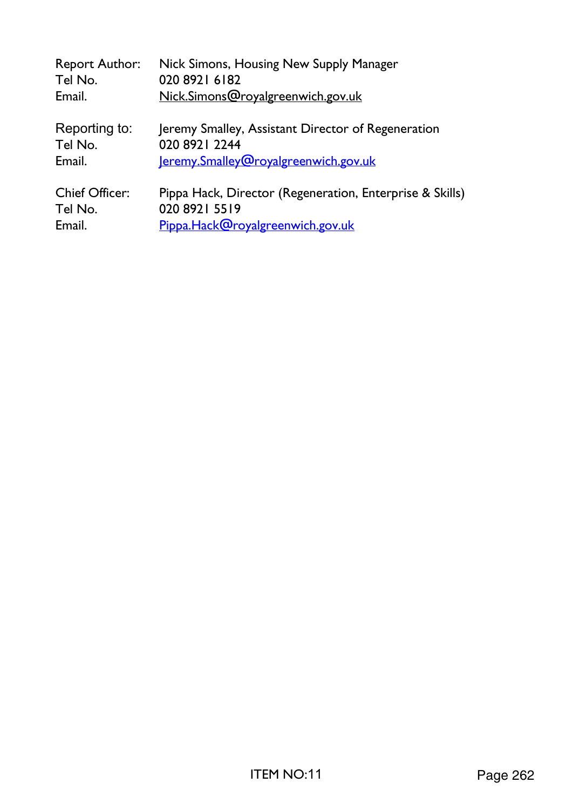| <b>Report Author:</b> | Nick Simons, Housing New Supply Manager                  |
|-----------------------|----------------------------------------------------------|
| Tel No.               | 020 8921 6182                                            |
| Email.                | Nick.Simons@royalgreenwich.gov.uk                        |
| Reporting to:         | Jeremy Smalley, Assistant Director of Regeneration       |
| Tel No.               | 020 8921 2244                                            |
| Email.                | Jeremy.Smalley@royalgreenwich.gov.uk                     |
| <b>Chief Officer:</b> | Pippa Hack, Director (Regeneration, Enterprise & Skills) |
| Tel No.               | 020 8921 5519                                            |
| Email.                | Pippa.Hack@royalgreenwich.gov.uk                         |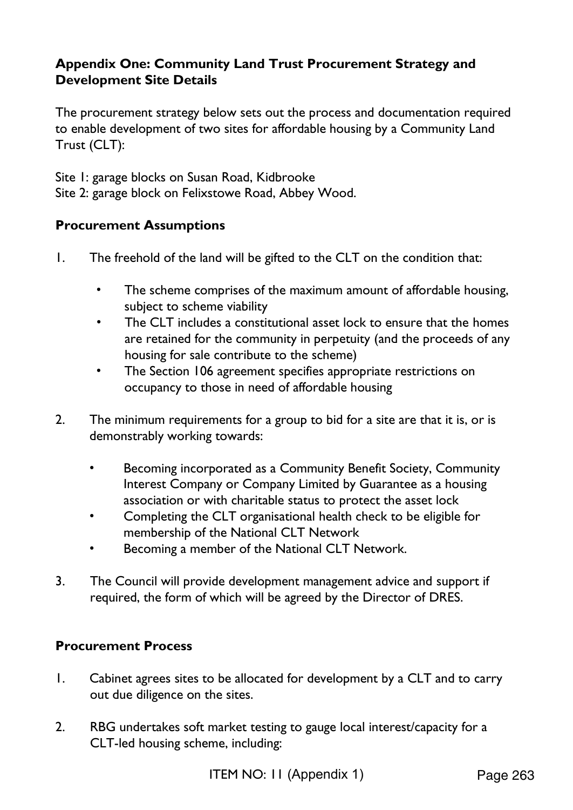# **Appendix One: Community Land Trust Procurement Strategy and Development Site Details**

The procurement strategy below sets out the process and documentation required to enable development of two sites for affordable housing by a Community Land Trust (CLT):

Site 1: garage blocks on Susan Road, Kidbrooke Site 2: garage block on Felixstowe Road, Abbey Wood.

# **Procurement Assumptions**

- 1. The freehold of the land will be gifted to the CLT on the condition that:
	- The scheme comprises of the maximum amount of affordable housing, subject to scheme viability
	- The CLT includes a constitutional asset lock to ensure that the homes are retained for the community in perpetuity (and the proceeds of any housing for sale contribute to the scheme)
	- The Section 106 agreement specifies appropriate restrictions on occupancy to those in need of affordable housing
- 2. The minimum requirements for a group to bid for a site are that it is, or is demonstrably working towards:
	- Becoming incorporated as a Community Benefit Society, Community Interest Company or Company Limited by Guarantee as a housing association or with charitable status to protect the asset lock
	- Completing the CLT organisational health check to be eligible for membership of the National CLT Network
	- Becoming a member of the National CLT Network.
- 3. The Council will provide development management advice and support if required, the form of which will be agreed by the Director of DRES.

### **Procurement Process**

- 1. Cabinet agrees sites to be allocated for development by a CLT and to carry out due diligence on the sites.
- 2. RBG undertakes soft market testing to gauge local interest/capacity for a CLT-led housing scheme, including: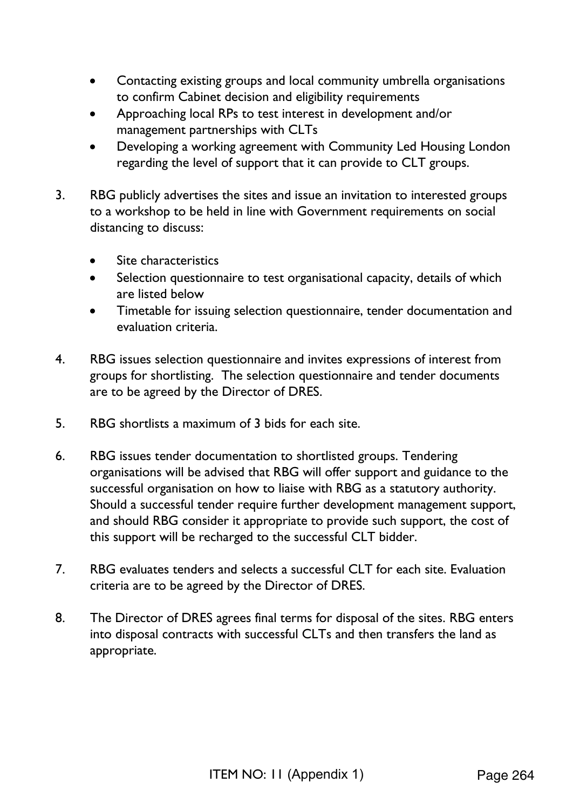- Contacting existing groups and local community umbrella organisations to confirm Cabinet decision and eligibility requirements
- Approaching local RPs to test interest in development and/or management partnerships with CLTs
- Developing a working agreement with Community Led Housing London regarding the level of support that it can provide to CLT groups.
- 3. RBG publicly advertises the sites and issue an invitation to interested groups to a workshop to be held in line with Government requirements on social distancing to discuss:
	- Site characteristics
	- Selection questionnaire to test organisational capacity, details of which are listed below
	- Timetable for issuing selection questionnaire, tender documentation and evaluation criteria.
- 4. RBG issues selection questionnaire and invites expressions of interest from groups for shortlisting. The selection questionnaire and tender documents are to be agreed by the Director of DRES.
- 5. RBG shortlists a maximum of 3 bids for each site.
- 6. RBG issues tender documentation to shortlisted groups. Tendering organisations will be advised that RBG will offer support and guidance to the successful organisation on how to liaise with RBG as a statutory authority. Should a successful tender require further development management support, and should RBG consider it appropriate to provide such support, the cost of this support will be recharged to the successful CLT bidder.
- 7. RBG evaluates tenders and selects a successful CLT for each site. Evaluation criteria are to be agreed by the Director of DRES.
- 8. The Director of DRES agrees final terms for disposal of the sites. RBG enters into disposal contracts with successful CLTs and then transfers the land as appropriate.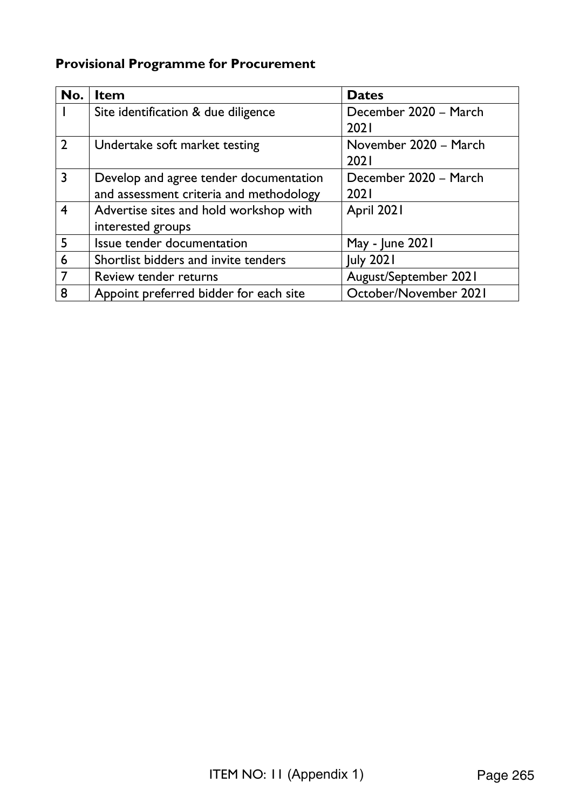# **Provisional Programme for Procurement**

| No.            | <b>Item</b>                                                                       | <b>Dates</b>                         |
|----------------|-----------------------------------------------------------------------------------|--------------------------------------|
|                | Site identification & due diligence                                               | December 2020 - March<br>2021        |
| $\overline{2}$ | Undertake soft market testing                                                     | November 2020 - March<br><b>2021</b> |
| $\overline{3}$ | Develop and agree tender documentation<br>and assessment criteria and methodology | December 2020 - March<br>2021        |
| $\overline{4}$ | Advertise sites and hold workshop with<br>interested groups                       | April 2021                           |
| 5              | Issue tender documentation                                                        | May - June 2021                      |
| 6              | Shortlist bidders and invite tenders                                              | <b>July 2021</b>                     |
|                | Review tender returns                                                             | August/September 2021                |
| 8              | Appoint preferred bidder for each site                                            | October/November 2021                |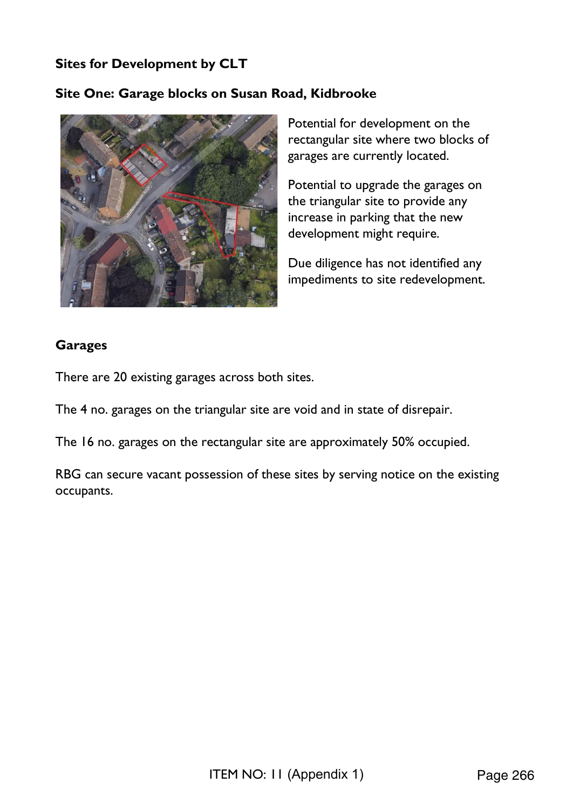# **Sites for Development by CLT**

### **Site One: Garage blocks on Susan Road, Kidbrooke**



Potential for development on the rectangular site where two blocks of garages are currently located.

Potential to upgrade the garages on the triangular site to provide any increase in parking that the new development might require.

Due diligence has not identified any impediments to site redevelopment.

#### **Garages**

There are 20 existing garages across both sites.

The 4 no. garages on the triangular site are void and in state of disrepair.

The 16 no. garages on the rectangular site are approximately 50% occupied.

RBG can secure vacant possession of these sites by serving notice on the existing occupants.